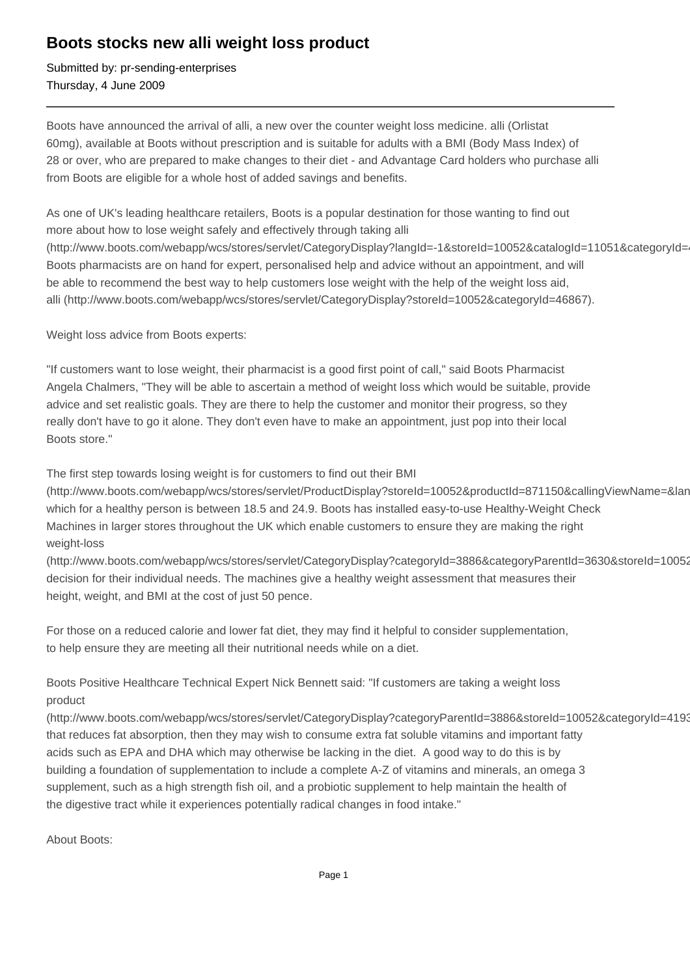## **Boots stocks new alli weight loss product**

Submitted by: pr-sending-enterprises Thursday, 4 June 2009

Boots have announced the arrival of alli, a new over the counter weight loss medicine. alli (Orlistat 60mg), available at Boots without prescription and is suitable for adults with a BMI (Body Mass Index) of 28 or over, who are prepared to make changes to their diet - and Advantage Card holders who purchase alli from Boots are eligible for a whole host of added savings and benefits.

As one of UK's leading healthcare retailers, Boots is a popular destination for those wanting to find out more about how to lose weight safely and effectively through taking alli (http://www.boots.com/webapp/wcs/stores/servlet/CategoryDisplay?langId=-1&storeId=10052&catalogId=11051&categoryId= Boots pharmacists are on hand for expert, personalised help and advice without an appointment, and will be able to recommend the best way to help customers lose weight with the help of the weight loss aid, alli (http://www.boots.com/webapp/wcs/stores/servlet/CategoryDisplay?storeId=10052&categoryId=46867).

Weight loss advice from Boots experts:

"If customers want to lose weight, their pharmacist is a good first point of call," said Boots Pharmacist Angela Chalmers, "They will be able to ascertain a method of weight loss which would be suitable, provide advice and set realistic goals. They are there to help the customer and monitor their progress, so they really don't have to go it alone. They don't even have to make an appointment, just pop into their local Boots store."

The first step towards losing weight is for customers to find out their BMI

(http://www.boots.com/webapp/wcs/stores/servlet/ProductDisplay?storeId=10052&productId=871150&callingViewName=&lan which for a healthy person is between 18.5 and 24.9. Boots has installed easy-to-use Healthy-Weight Check Machines in larger stores throughout the UK which enable customers to ensure they are making the right weight-loss

(http://www.boots.com/webapp/wcs/stores/servlet/CategoryDisplay?categoryId=3886&categoryParentId=3630&storeId=10052) decision for their individual needs. The machines give a healthy weight assessment that measures their height, weight, and BMI at the cost of just 50 pence.

For those on a reduced calorie and lower fat diet, they may find it helpful to consider supplementation, to help ensure they are meeting all their nutritional needs while on a diet.

Boots Positive Healthcare Technical Expert Nick Bennett said: "If customers are taking a weight loss product

(http://www.boots.com/webapp/wcs/stores/servlet/CategoryDisplay?categoryParentId=3886&storeId=10052&categoryId=4193 that reduces fat absorption, then they may wish to consume extra fat soluble vitamins and important fatty acids such as EPA and DHA which may otherwise be lacking in the diet. A good way to do this is by building a foundation of supplementation to include a complete A-Z of vitamins and minerals, an omega 3 supplement, such as a high strength fish oil, and a probiotic supplement to help maintain the health of the digestive tract while it experiences potentially radical changes in food intake."

About Boots: